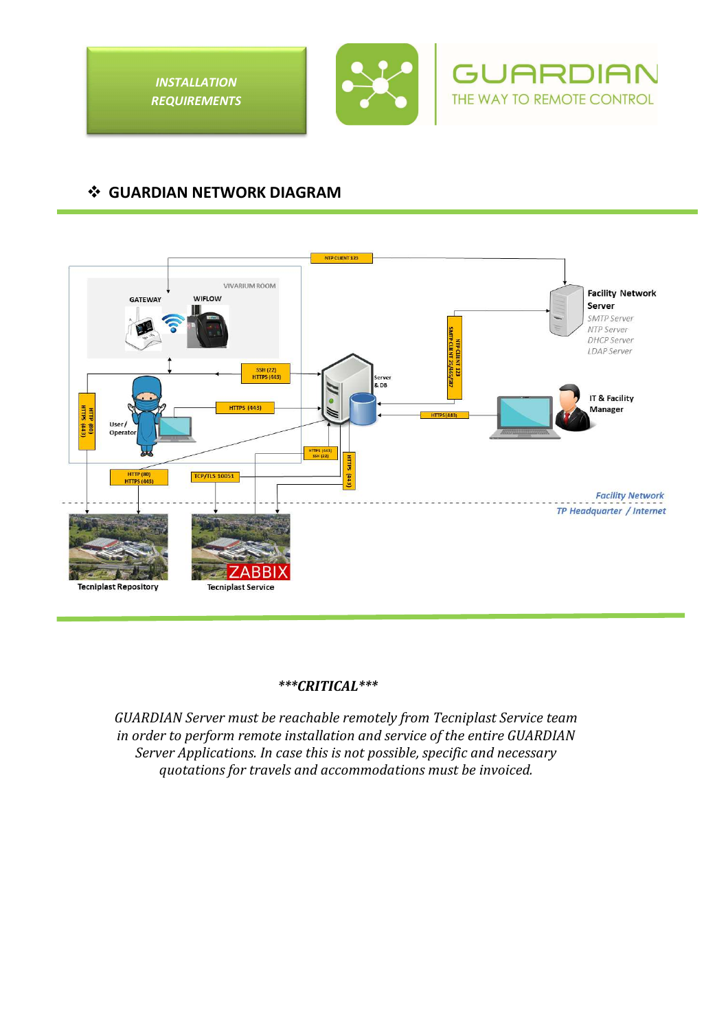



**GUARDIA** THE WAY TO REMOTE CONTROL

# **GUARDIAN NETWORK DIAGRAM**



### *\*\*\*CRITICAL\*\*\**

*GUARDIAN Server must be reachable remotely from Tecniplast Service team in order to perform remote installation and service of the entire GUARDIAN Server Applications. In case this is not possible, specific and necessary quotations for travels and accommodations must be invoiced.*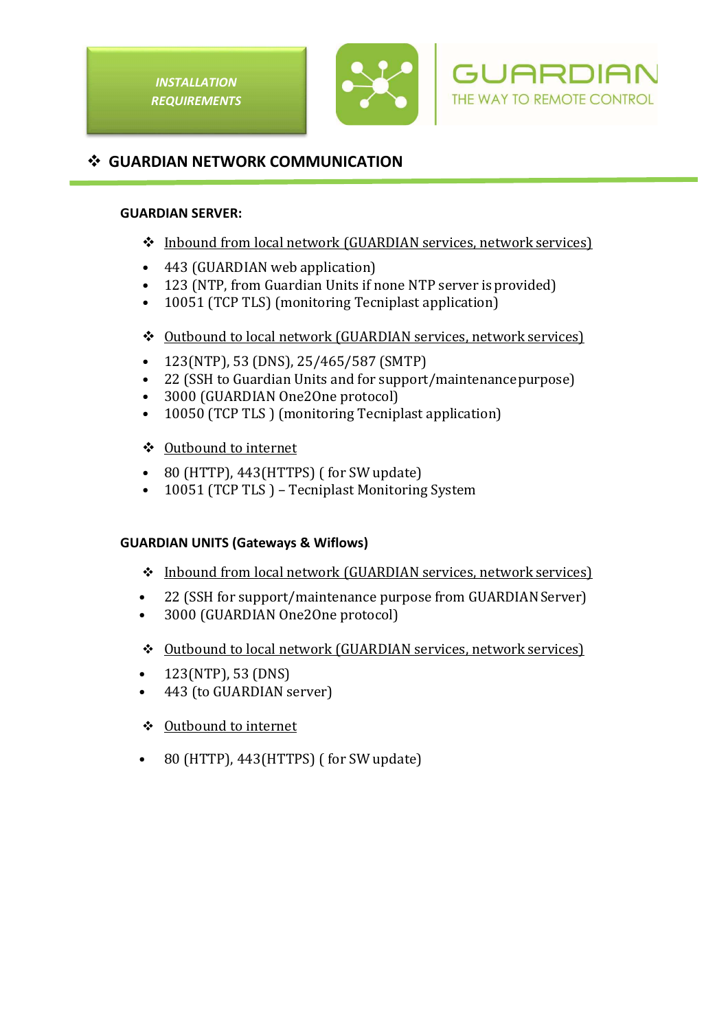





### **GUARDIAN NETWORK COMMUNICATION**

#### **GUARDIAN SERVER:**

- Inbound from local network (GUARDIAN services, network services)
- 443 (GUARDIAN web application)
- 123 (NTP, from Guardian Units if none NTP server is provided)
- 10051 (TCP TLS) (monitoring Tecniplast application)
- Outbound to local network (GUARDIAN services, network services)
- 123(NTP), 53 (DNS), 25/465/587 (SMTP)
- 22 (SSH to Guardian Units and for support/maintenance purpose)
- 3000 (GUARDIAN One2One protocol)
- 10050 (TCP TLS ) (monitoring Tecniplast application)
- Outbound to internet
- 80 (HTTP), 443(HTTPS) ( for SW update)
- 10051 (TCP TLS ) Tecniplast Monitoring System

### **GUARDIAN UNITS (Gateways & Wiflows)**

- Inbound from local network (GUARDIAN services, network services)
- 22 (SSH for support/maintenance purpose from GUARDIAN Server)
- 3000 (GUARDIAN One2One protocol)
- Outbound to local network (GUARDIAN services, network services)
- 123(NTP), 53 (DNS)
- 443 (to GUARDIAN server)
- ❖ Outbound to internet
- 80 (HTTP), 443 (HTTPS) (for SW update)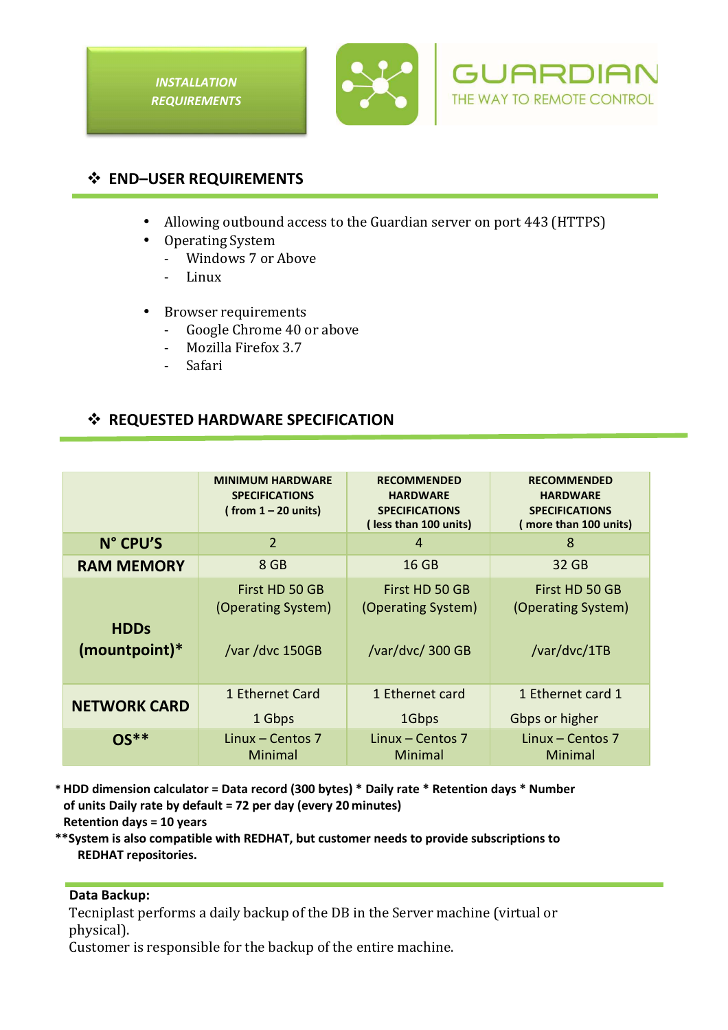





## **END–USER REQUIREMENTS**

- Allowing outbound access to the Guardian server on port 443 (HTTPS)
- Operating System
	- Windows 7 or Above
	- Linux
- Browser requirements
	- Google Chrome 40 or above
	- Mozilla Firefox 3.7
	- Safari

## $\div$  **REQUESTED HARDWARE SPECIFICATION**

|                                | <b>MINIMUM HARDWARE</b><br><b>SPECIFICATIONS</b><br>(from $1 - 20$ units) | <b>RECOMMENDED</b><br><b>HARDWARE</b><br><b>SPECIFICATIONS</b><br>(less than 100 units) | <b>RECOMMENDED</b><br><b>HARDWARE</b><br><b>SPECIFICATIONS</b><br>(more than 100 units) |
|--------------------------------|---------------------------------------------------------------------------|-----------------------------------------------------------------------------------------|-----------------------------------------------------------------------------------------|
| N° CPU'S                       | $\overline{2}$                                                            | 4                                                                                       | 8                                                                                       |
| <b>RAM MEMORY</b>              | 8 GB                                                                      | 16 GB                                                                                   | 32 GB                                                                                   |
| <b>HDDs</b><br>$(mountpoint)*$ | First HD 50 GB<br>(Operating System)<br>/var /dvc 150GB                   | First HD 50 GB<br>(Operating System)<br>/var/dvc/ 300 GB                                | First HD 50 GB<br>(Operating System)<br>/var/dvc/1TB                                    |
| <b>NETWORK CARD</b>            | 1 Ethernet Card<br>1 Gbps                                                 | 1 Ethernet card<br>1Gbps                                                                | 1 Ethernet card 1<br>Gbps or higher                                                     |
| ∩<**                           | Linux – Centos $7$<br>Minimal                                             | Linux $-$ Centos 7<br>Minimal                                                           | Linux - Centos 7<br>Minimal                                                             |

**\* HDD dimension calculator = Data record (300 bytes) \* Daily rate \* Retention days \* Number of units Daily rate by default = 72 per day (every 20 minutes) Retention days = 10 years** 

**\*\*System is also compatible with REDHAT, but customer needs to provide subscriptions to REDHAT repositories.** 

### **Data Backup:**

Tecniplast performs a daily backup of the DB in the Server machine (virtual or physical).

Customer is responsible for the backup of the entire machine.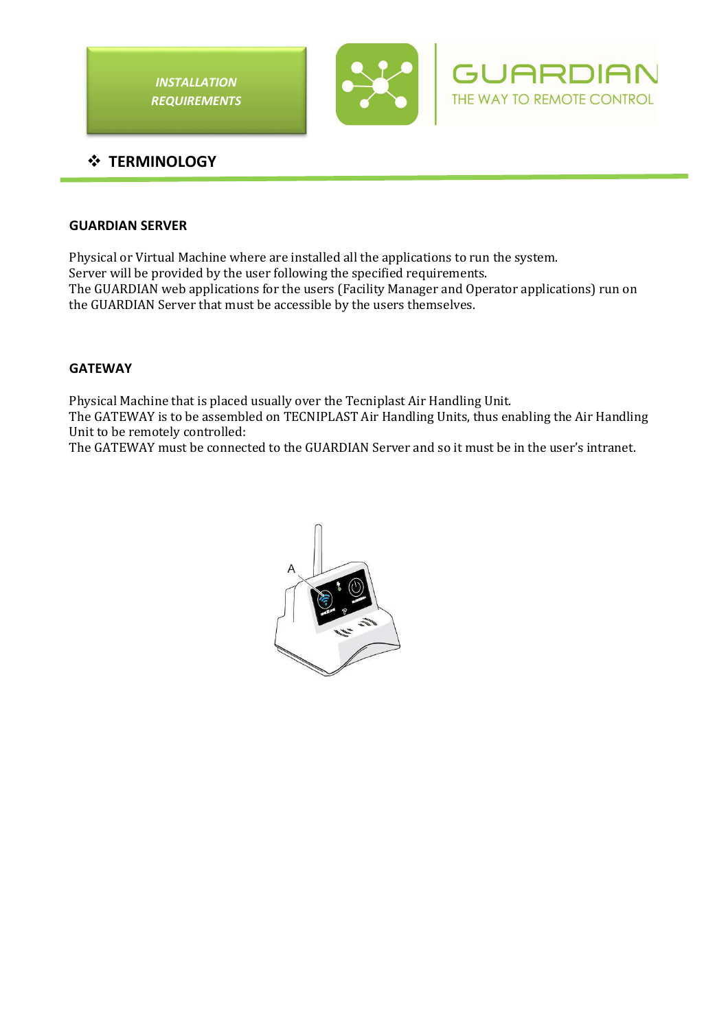

### **GUARDIAN SERVER**

Physical or Virtual Machine where are installed all the applications to run the system. Server will be provided by the user following the specified requirements. The GUARDIAN web applications for the users (Facility Manager and Operator applications) run on the GUARDIAN Server that must be accessible by the users themselves.

#### **GATEWAY**

Physical Machine that is placed usually over the Tecniplast Air Handling Unit. The GATEWAY is to be assembled on TECNIPLAST Air Handling Units, thus enabling the Air Handling Unit to be remotely controlled:

The GATEWAY must be connected to the GUARDIAN Server and so it must be in the user's intranet.